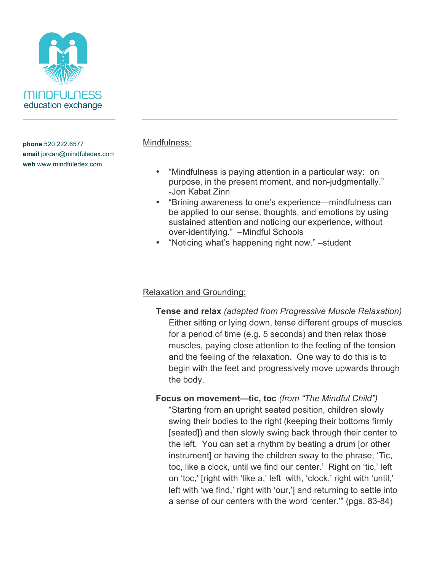

## Mindfulness:

- "Mindfulness is paying attention in a particular way: on purpose, in the present moment, and non-judgmentally." -Jon Kabat Zinn
- "Brining awareness to one's experience—mindfulness can be applied to our sense, thoughts, and emotions by using sustained attention and noticing our experience, without over-identifying." –Mindful Schools
- "Noticing what's happening right now." –student

# Relaxation and Grounding:

**Tense and relax** *(adapted from Progressive Muscle Relaxation)* Either sitting or lying down, tense different groups of muscles for a period of time (e.g. 5 seconds) and then relax those muscles, paying close attention to the feeling of the tension and the feeling of the relaxation. One way to do this is to begin with the feet and progressively move upwards through the body.

**Focus on movement—tic, toc** *(from "The Mindful Child")*

"Starting from an upright seated position, children slowly swing their bodies to the right (keeping their bottoms firmly [seated]) and then slowly swing back through their center to the left. You can set a rhythm by beating a drum [or other instrument] or having the children sway to the phrase, 'Tic, toc, like a clock, until we find our center.' Right on 'tic,' left on 'toc,' [right with 'like a,' left with, 'clock,' right with 'until,' left with 'we find,' right with 'our,'] and returning to settle into a sense of our centers with the word 'center.'" (pgs. 83-84)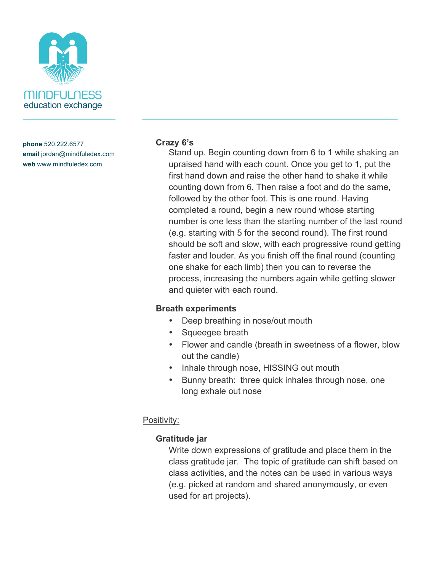

#### **Crazy 6's**

Stand up. Begin counting down from 6 to 1 while shaking an upraised hand with each count. Once you get to 1, put the first hand down and raise the other hand to shake it while counting down from 6. Then raise a foot and do the same, followed by the other foot. This is one round. Having completed a round, begin a new round whose starting number is one less than the starting number of the last round (e.g. starting with 5 for the second round). The first round should be soft and slow, with each progressive round getting faster and louder. As you finish off the final round (counting one shake for each limb) then you can to reverse the process, increasing the numbers again while getting slower and quieter with each round.

### **Breath experiments**

- Deep breathing in nose/out mouth
- Squeegee breath
- Flower and candle (breath in sweetness of a flower, blow out the candle)
- Inhale through nose, HISSING out mouth
- Bunny breath: three quick inhales through nose, one long exhale out nose

# Positivity:

# **Gratitude jar**

Write down expressions of gratitude and place them in the class gratitude jar. The topic of gratitude can shift based on class activities, and the notes can be used in various ways (e.g. picked at random and shared anonymously, or even used for art projects).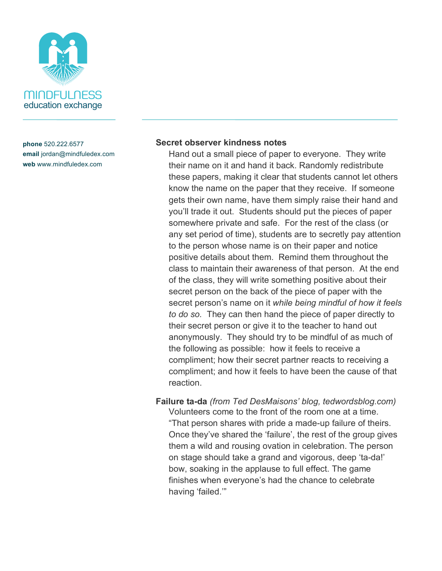

#### **Secret observer kindness notes**

Hand out a small piece of paper to everyone. They write their name on it and hand it back. Randomly redistribute these papers, making it clear that students cannot let others know the name on the paper that they receive. If someone gets their own name, have them simply raise their hand and you'll trade it out. Students should put the pieces of paper somewhere private and safe. For the rest of the class (or any set period of time), students are to secretly pay attention to the person whose name is on their paper and notice positive details about them. Remind them throughout the class to maintain their awareness of that person. At the end of the class, they will write something positive about their secret person on the back of the piece of paper with the secret person's name on it *while being mindful of how it feels to do so.* They can then hand the piece of paper directly to their secret person or give it to the teacher to hand out anonymously. They should try to be mindful of as much of the following as possible: how it feels to receive a compliment; how their secret partner reacts to receiving a compliment; and how it feels to have been the cause of that reaction.

**Failure ta-da** *(from Ted DesMaisons' blog, tedwordsblog.com)* Volunteers come to the front of the room one at a time. "That person shares with pride a made-up failure of theirs. Once they've shared the 'failure', the rest of the group gives them a wild and rousing ovation in celebration. The person on stage should take a grand and vigorous, deep 'ta-da!' bow, soaking in the applause to full effect. The game finishes when everyone's had the chance to celebrate having 'failed.'"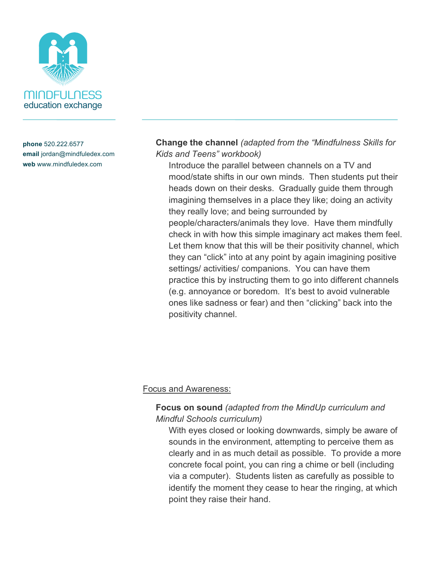

**Change the channel** *(adapted from the "Mindfulness Skills for Kids and Teens" workbook)*

Introduce the parallel between channels on a TV and mood/state shifts in our own minds. Then students put their heads down on their desks. Gradually guide them through imagining themselves in a place they like; doing an activity they really love; and being surrounded by people/characters/animals they love. Have them mindfully check in with how this simple imaginary act makes them feel. Let them know that this will be their positivity channel, which they can "click" into at any point by again imagining positive settings/ activities/ companions. You can have them practice this by instructing them to go into different channels (e.g. annoyance or boredom. It's best to avoid vulnerable ones like sadness or fear) and then "clicking" back into the positivity channel.

### Focus and Awareness:

## **Focus on sound** *(adapted from the MindUp curriculum and Mindful Schools curriculum)*

With eyes closed or looking downwards, simply be aware of sounds in the environment, attempting to perceive them as clearly and in as much detail as possible. To provide a more concrete focal point, you can ring a chime or bell (including via a computer). Students listen as carefully as possible to identify the moment they cease to hear the ringing, at which point they raise their hand.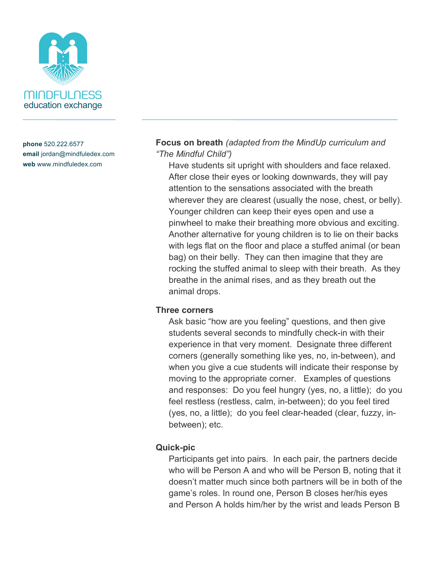

**Focus on breath** *(adapted from the MindUp curriculum and "The Mindful Child")*

Have students sit upright with shoulders and face relaxed. After close their eyes or looking downwards, they will pay attention to the sensations associated with the breath wherever they are clearest (usually the nose, chest, or belly). Younger children can keep their eyes open and use a pinwheel to make their breathing more obvious and exciting. Another alternative for young children is to lie on their backs with legs flat on the floor and place a stuffed animal (or bean bag) on their belly. They can then imagine that they are rocking the stuffed animal to sleep with their breath. As they breathe in the animal rises, and as they breath out the animal drops.

#### **Three corners**

Ask basic "how are you feeling" questions, and then give students several seconds to mindfully check-in with their experience in that very moment. Designate three different corners (generally something like yes, no, in-between), and when you give a cue students will indicate their response by moving to the appropriate corner. Examples of questions and responses: Do you feel hungry (yes, no, a little); do you feel restless (restless, calm, in-between); do you feel tired (yes, no, a little); do you feel clear-headed (clear, fuzzy, inbetween); etc.

### **Quick-pic**

Participants get into pairs. In each pair, the partners decide who will be Person A and who will be Person B, noting that it doesn't matter much since both partners will be in both of the game's roles. In round one, Person B closes her/his eyes and Person A holds him/her by the wrist and leads Person B